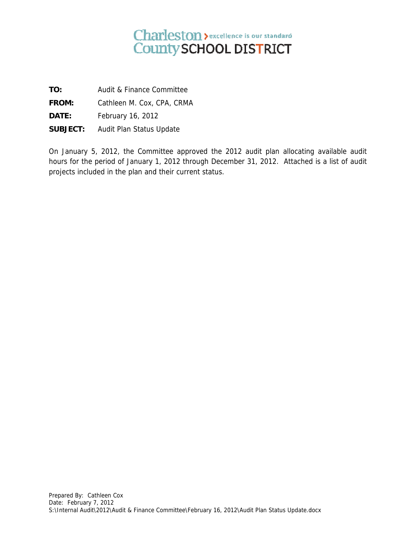## Charleston > excellence is our standard<br>County SCHOOL DISTRICT

**TO:**  Audit & Finance C Committee

**FROM:**  Cathleen M. Cox, CPA, CRMA

**DATE:** Febru ary 16, 2012

**SUBJECT** February 16, 2012<br>**T:** Audit Plan Status Update

On January 5, 2012, the Committee approved the 2012 audit plan allocating available audit hours for the period of January 1, 2012 through December 31, 2012. Attached is a list of audit projects included in the plan and their current status.